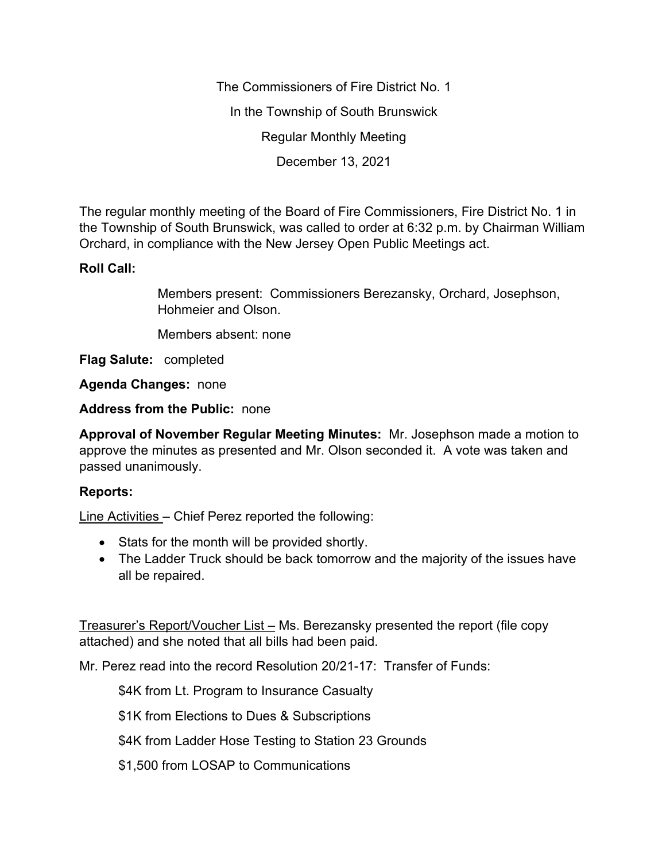The Commissioners of Fire District No. 1 In the Township of South Brunswick Regular Monthly Meeting December 13, 2021

The regular monthly meeting of the Board of Fire Commissioners, Fire District No. 1 in the Township of South Brunswick, was called to order at 6:32 p.m. by Chairman William Orchard, in compliance with the New Jersey Open Public Meetings act.

## **Roll Call:**

Members present: Commissioners Berezansky, Orchard, Josephson, Hohmeier and Olson.

Members absent: none

**Flag Salute:** completed

**Agenda Changes:** none

**Address from the Public:** none

**Approval of November Regular Meeting Minutes:** Mr. Josephson made a motion to approve the minutes as presented and Mr. Olson seconded it. A vote was taken and passed unanimously.

## **Reports:**

Line Activities – Chief Perez reported the following:

- Stats for the month will be provided shortly.
- The Ladder Truck should be back tomorrow and the majority of the issues have all be repaired.

Treasurer's Report/Voucher List – Ms. Berezansky presented the report (file copy attached) and she noted that all bills had been paid.

Mr. Perez read into the record Resolution 20/21-17: Transfer of Funds:

\$4K from Lt. Program to Insurance Casualty

\$1K from Elections to Dues & Subscriptions

\$4K from Ladder Hose Testing to Station 23 Grounds

\$1,500 from LOSAP to Communications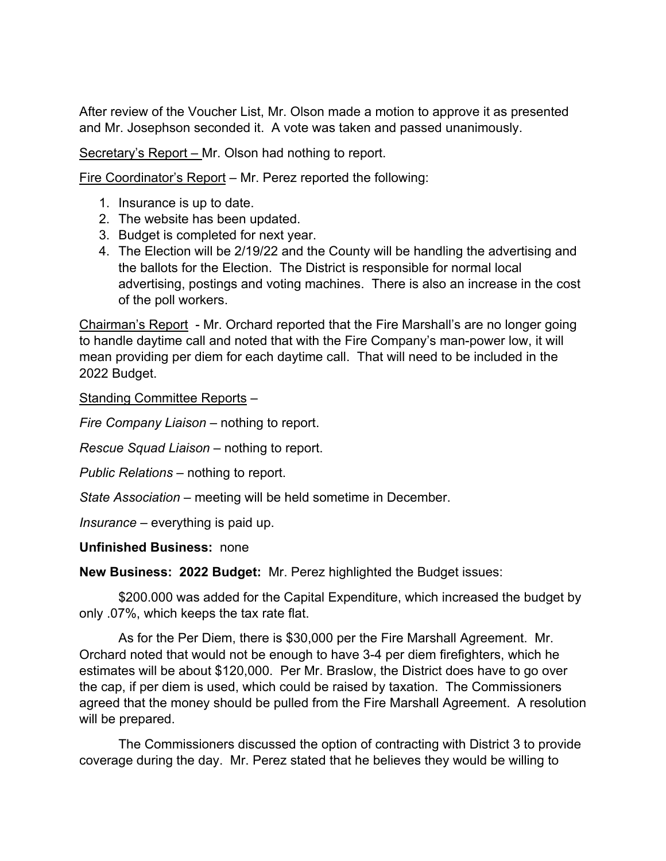After review of the Voucher List, Mr. Olson made a motion to approve it as presented and Mr. Josephson seconded it. A vote was taken and passed unanimously.

Secretary's Report – Mr. Olson had nothing to report.

Fire Coordinator's Report – Mr. Perez reported the following:

- 1. Insurance is up to date.
- 2. The website has been updated.
- 3. Budget is completed for next year.
- 4. The Election will be 2/19/22 and the County will be handling the advertising and the ballots for the Election. The District is responsible for normal local advertising, postings and voting machines. There is also an increase in the cost of the poll workers.

Chairman's Report - Mr. Orchard reported that the Fire Marshall's are no longer going to handle daytime call and noted that with the Fire Company's man-power low, it will mean providing per diem for each daytime call. That will need to be included in the 2022 Budget.

Standing Committee Reports –

*Fire Company Liaison –* nothing to report.

*Rescue Squad Liaison –* nothing to report.

*Public Relations –* nothing to report.

*State Association –* meeting will be held sometime in December.

*Insurance –* everything is paid up.

## **Unfinished Business:** none

**New Business: 2022 Budget:** Mr. Perez highlighted the Budget issues:

\$200.000 was added for the Capital Expenditure, which increased the budget by only .07%, which keeps the tax rate flat.

As for the Per Diem, there is \$30,000 per the Fire Marshall Agreement. Mr. Orchard noted that would not be enough to have 3-4 per diem firefighters, which he estimates will be about \$120,000. Per Mr. Braslow, the District does have to go over the cap, if per diem is used, which could be raised by taxation. The Commissioners agreed that the money should be pulled from the Fire Marshall Agreement. A resolution will be prepared.

The Commissioners discussed the option of contracting with District 3 to provide coverage during the day. Mr. Perez stated that he believes they would be willing to